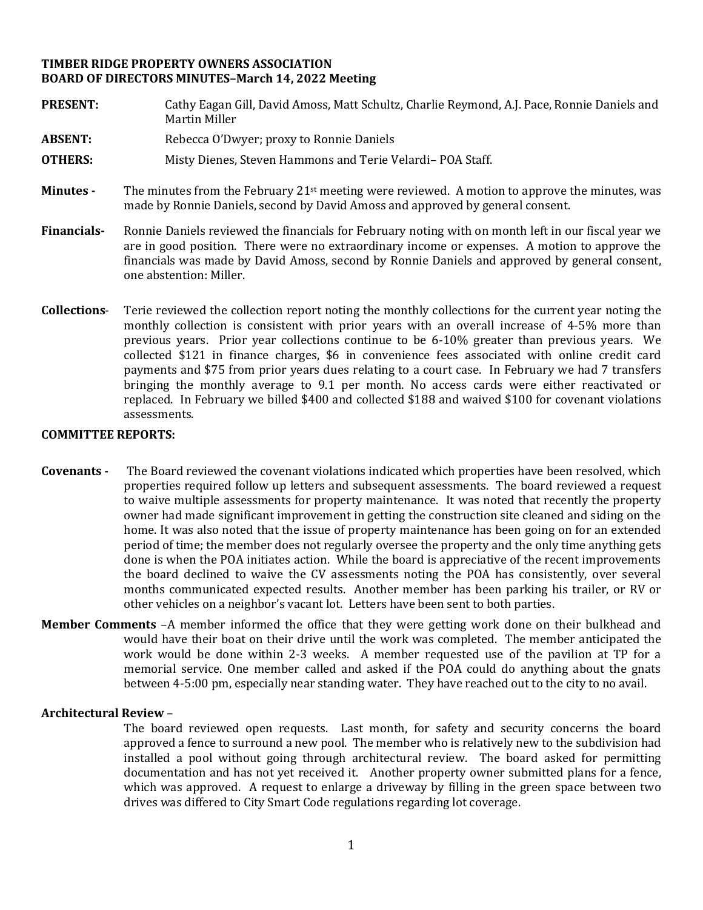# **TIMBER RIDGE PROPERTY OWNERS ASSOCIATION BOARD OF DIRECTORS MINUTES–March 14, 2022 Meeting**

- **PRESENT:** Cathy Eagan Gill, David Amoss, Matt Schultz, Charlie Reymond, A.J. Pace, Ronnie Daniels and Martin Miller
- **ABSENT:** Rebecca O'Dwyer; proxy to Ronnie Daniels
- **OTHERS:** Misty Dienes, Steven Hammons and Terie Velardi– POA Staff.
- **Minutes -** The minutes from the February 21st meeting were reviewed. A motion to approve the minutes, was made by Ronnie Daniels, second by David Amoss and approved by general consent.
- **Financials-** Ronnie Daniels reviewed the financials for February noting with on month left in our fiscal year we are in good position. There were no extraordinary income or expenses. A motion to approve the financials was made by David Amoss, second by Ronnie Daniels and approved by general consent, one abstention: Miller.
- **Collections** Terie reviewed the collection report noting the monthly collections for the current year noting the monthly collection is consistent with prior years with an overall increase of 4-5% more than previous years. Prior year collections continue to be 6-10% greater than previous years. We collected \$121 in finance charges, \$6 in convenience fees associated with online credit card payments and \$75 from prior years dues relating to a court case. In February we had 7 transfers bringing the monthly average to 9.1 per month. No access cards were either reactivated or replaced. In February we billed \$400 and collected \$188 and waived \$100 for covenant violations assessments.

#### **COMMITTEE REPORTS:**

- **Covenants -** The Board reviewed the covenant violations indicated which properties have been resolved, which properties required follow up letters and subsequent assessments. The board reviewed a request to waive multiple assessments for property maintenance. It was noted that recently the property owner had made significant improvement in getting the construction site cleaned and siding on the home. It was also noted that the issue of property maintenance has been going on for an extended period of time; the member does not regularly oversee the property and the only time anything gets done is when the POA initiates action. While the board is appreciative of the recent improvements the board declined to waive the CV assessments noting the POA has consistently, over several months communicated expected results. Another member has been parking his trailer, or RV or other vehicles on a neighbor's vacant lot. Letters have been sent to both parties.
- **Member Comments** –A member informed the office that they were getting work done on their bulkhead and would have their boat on their drive until the work was completed. The member anticipated the work would be done within 2-3 weeks. A member requested use of the pavilion at TP for a memorial service. One member called and asked if the POA could do anything about the gnats between 4-5:00 pm, especially near standing water. They have reached out to the city to no avail.

# **Architectural Review** –

The board reviewed open requests. Last month, for safety and security concerns the board approved a fence to surround a new pool. The member who is relatively new to the subdivision had installed a pool without going through architectural review. The board asked for permitting documentation and has not yet received it. Another property owner submitted plans for a fence, which was approved. A request to enlarge a driveway by filling in the green space between two drives was differed to City Smart Code regulations regarding lot coverage.